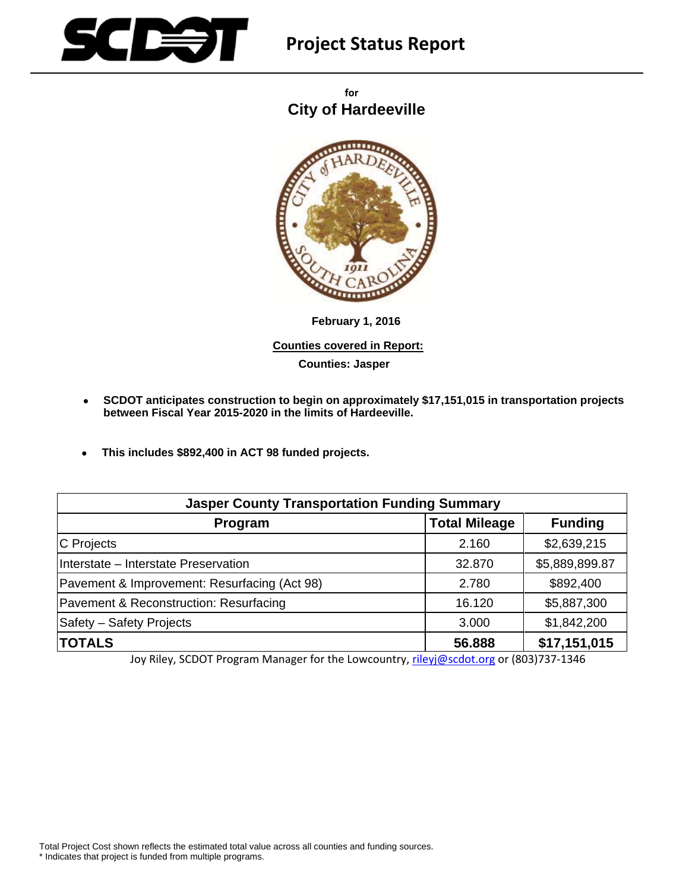

# **Project Status Report**

 **for City of Hardeeville**



 **February 1, 2016 Counties covered in Report: Counties: Jasper**

- **SCDOT anticipates construction to begin on approximately \$17,151,015 in transportation projects between Fiscal Year 2015-2020 in the limits of Hardeeville.**
- **This includes \$892,400 in ACT 98 funded projects.**

| <b>Jasper County Transportation Funding Summary</b> |                      |                |
|-----------------------------------------------------|----------------------|----------------|
| Program                                             | <b>Total Mileage</b> | <b>Funding</b> |
| C Projects                                          | 2.160                | \$2,639,215    |
| Interstate - Interstate Preservation                | 32.870               | \$5,889,899.87 |
| Pavement & Improvement: Resurfacing (Act 98)        | 2.780                | \$892,400      |
| Pavement & Reconstruction: Resurfacing              | 16.120               | \$5,887,300    |
| Safety - Safety Projects                            | 3.000                | \$1,842,200    |
| <b>TOTALS</b>                                       | 56.888               | \$17,151,015   |

Joy Riley, SCDOT Program Manager for the Lowcountry, rileyj@scdot.org or (803)737-1346

Total Project Cost shown reflects the estimated total value across all counties and funding sources.

\* Indicates that project is funded from multiple programs.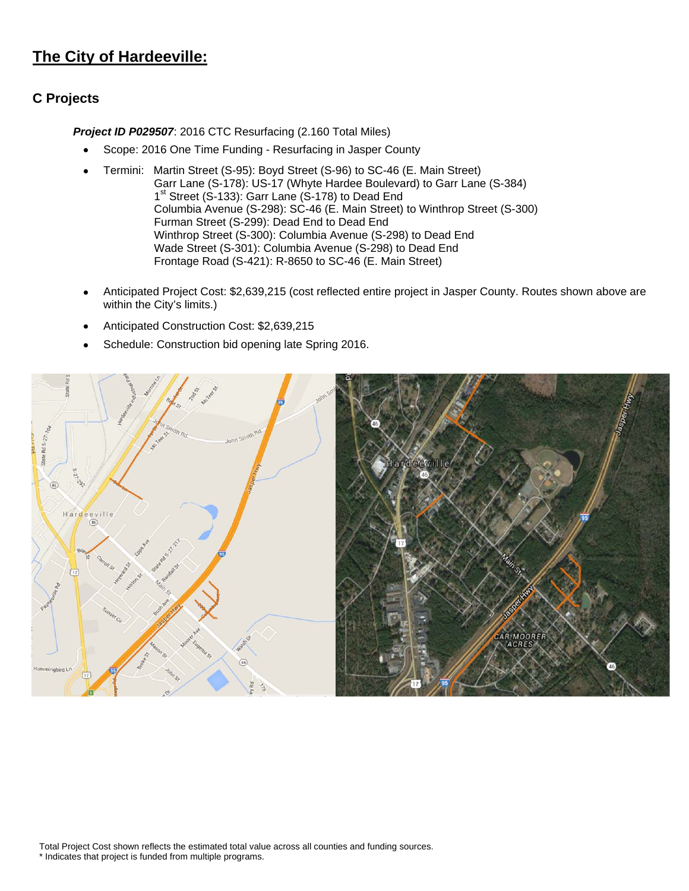## **The City of Hardeeville:**

### **C Projects**

 *Project ID P029507*: 2016 CTC Resurfacing (2.160 Total Miles)

- Scope: 2016 One Time Funding Resurfacing in Jasper County
- Termini: Martin Street (S-95): Boyd Street (S-96) to SC-46 (E. Main Street) Garr Lane (S-178): US-17 (Whyte Hardee Boulevard) to Garr Lane (S-384) 1<sup>st</sup> Street (S-133): Garr Lane (S-178) to Dead End Columbia Avenue (S-298): SC-46 (E. Main Street) to Winthrop Street (S-300) Furman Street (S-299): Dead End to Dead End Winthrop Street (S-300): Columbia Avenue (S-298) to Dead End Wade Street (S-301): Columbia Avenue (S-298) to Dead End Frontage Road (S-421): R-8650 to SC-46 (E. Main Street)
- Anticipated Project Cost: \$2,639,215 (cost reflected entire project in Jasper County. Routes shown above are within the City's limits.)
- Anticipated Construction Cost: \$2,639,215
- Schedule: Construction bid opening late Spring 2016.

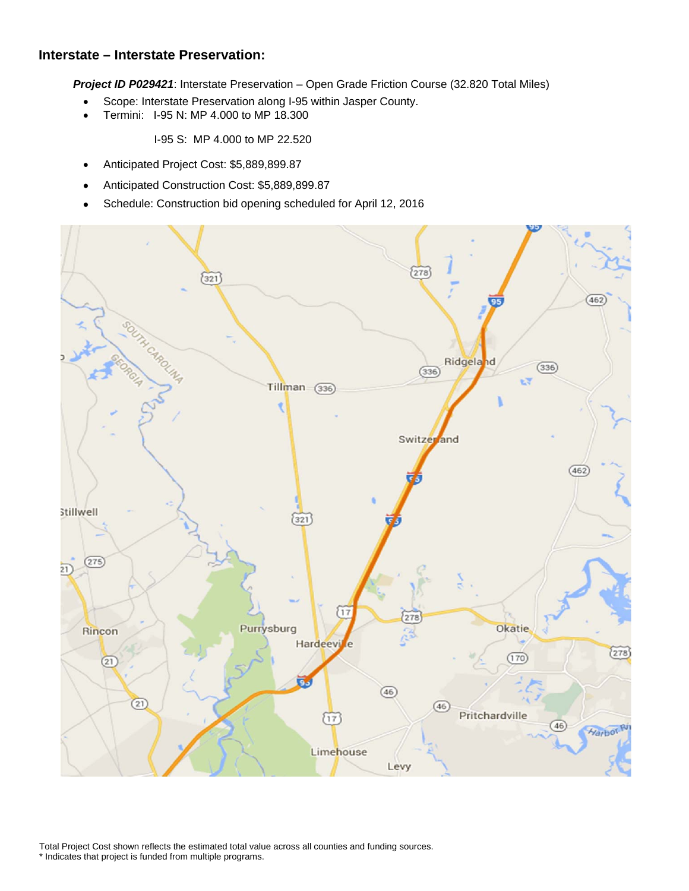#### **Interstate – Interstate Preservation:**

*Project ID P029421*: Interstate Preservation – Open Grade Friction Course (32.820 Total Miles)

- Scope: Interstate Preservation along I-95 within Jasper County.
- Termini: I-95 N: MP 4.000 to MP 18.300

I-95 S: MP 4.000 to MP 22.520

- Anticipated Project Cost: \$5,889,899.87
- Anticipated Construction Cost: \$5,889,899.87
- Schedule: Construction bid opening scheduled for April 12, 2016

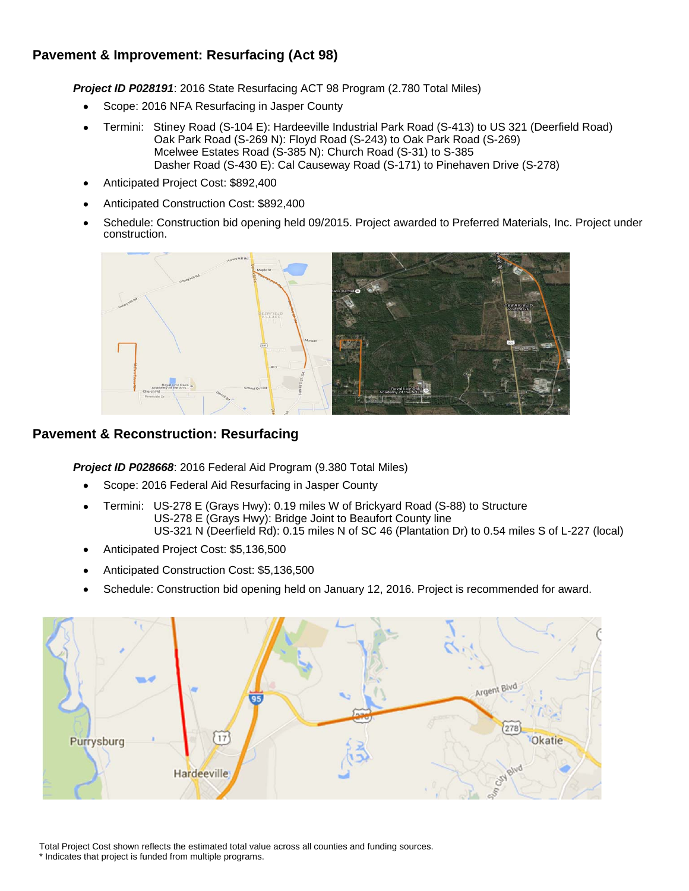### **Pavement & Improvement: Resurfacing (Act 98)**

 *Project ID P028191*: 2016 State Resurfacing ACT 98 Program (2.780 Total Miles)

- Scope: 2016 NFA Resurfacing in Jasper County
- Termini: Stiney Road (S-104 E): Hardeeville Industrial Park Road (S-413) to US 321 (Deerfield Road) Oak Park Road (S-269 N): Floyd Road (S-243) to Oak Park Road (S-269) Mcelwee Estates Road (S-385 N): Church Road (S-31) to S-385 Dasher Road (S-430 E): Cal Causeway Road (S-171) to Pinehaven Drive (S-278)
- Anticipated Project Cost: \$892,400
- Anticipated Construction Cost: \$892,400
- Schedule: Construction bid opening held 09/2015. Project awarded to Preferred Materials, Inc. Project under construction.



#### **Pavement & Reconstruction: Resurfacing**

 *Project ID P028668*: 2016 Federal Aid Program (9.380 Total Miles)

- Scope: 2016 Federal Aid Resurfacing in Jasper County
- Termini: US-278 E (Grays Hwy): 0.19 miles W of Brickyard Road (S-88) to Structure US-278 E (Grays Hwy): Bridge Joint to Beaufort County line US-321 N (Deerfield Rd): 0.15 miles N of SC 46 (Plantation Dr) to 0.54 miles S of L-227 (local)
- Anticipated Project Cost: \$5,136,500
- Anticipated Construction Cost: \$5,136,500
- Schedule: Construction bid opening held on January 12, 2016. Project is recommended for award.

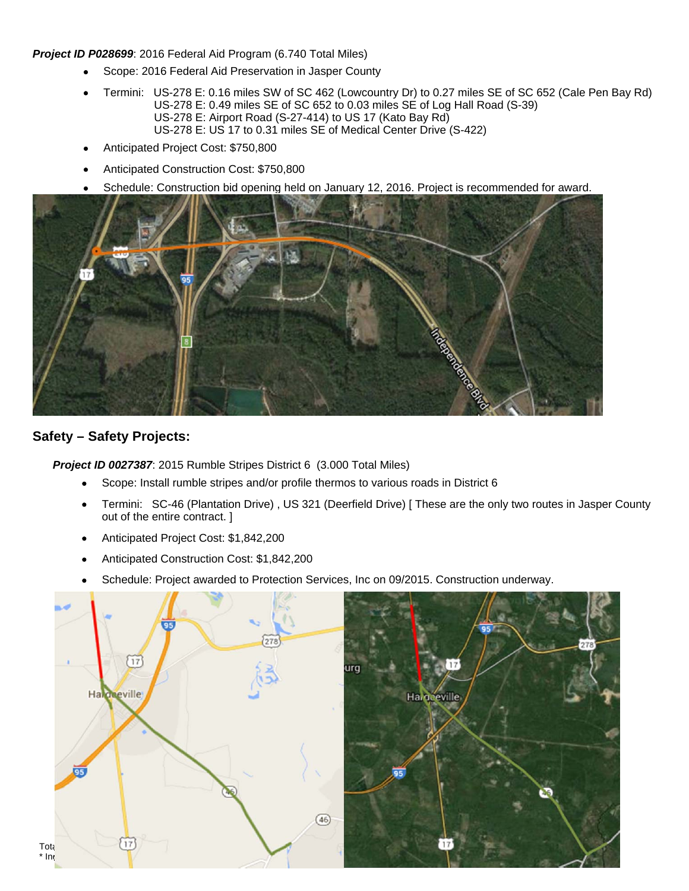#### *Project ID P028699*: 2016 Federal Aid Program (6.740 Total Miles)

- Scope: 2016 Federal Aid Preservation in Jasper County
- Termini: US-278 E: 0.16 miles SW of SC 462 (Lowcountry Dr) to 0.27 miles SE of SC 652 (Cale Pen Bay Rd) US-278 E: 0.49 miles SE of SC 652 to 0.03 miles SE of Log Hall Road (S-39) US-278 E: Airport Road (S-27-414) to US 17 (Kato Bay Rd) US-278 E: US 17 to 0.31 miles SE of Medical Center Drive (S-422)
- Anticipated Project Cost: \$750,800
- Anticipated Construction Cost: \$750,800
- Schedule: Construction bid opening held on January 12, 2016. Project is recommended for award.



#### **Safety – Safety Projects:**

 *Project ID 0027387*: 2015 Rumble Stripes District 6 (3.000 Total Miles)

- Scope: Install rumble stripes and/or profile thermos to various roads in District 6
- Termini: SC-46 (Plantation Drive) , US 321 (Deerfield Drive) [ These are the only two routes in Jasper County out of the entire contract. ]
- Anticipated Project Cost: \$1,842,200
- Anticipated Construction Cost: \$1,842,200
- Schedule: Project awarded to Protection Services, Inc on 09/2015. Construction underway.

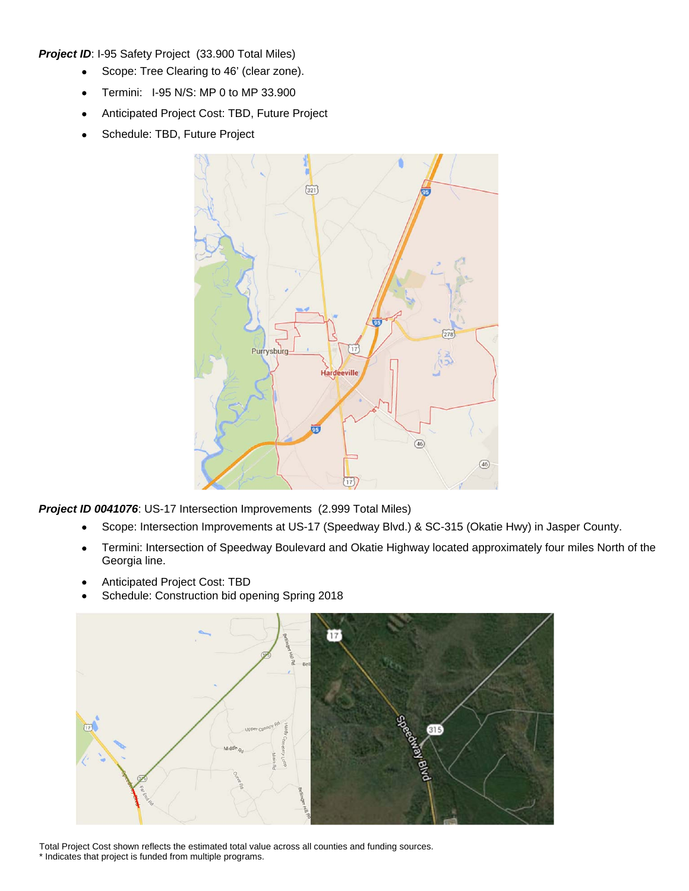**Project ID: I-95 Safety Project (33.900 Total Miles)** 

- Scope: Tree Clearing to 46' (clear zone).
- Termini: I-95 N/S: MP 0 to MP 33.900
- Anticipated Project Cost: TBD, Future Project
- Schedule: TBD, Future Project



*Project ID 0041076*: US-17 Intersection Improvements (2.999 Total Miles)

- Scope: Intersection Improvements at US-17 (Speedway Blvd.) & SC-315 (Okatie Hwy) in Jasper County.
- Termini: Intersection of Speedway Boulevard and Okatie Highway located approximately four miles North of the Georgia line.
- Anticipated Project Cost: TBD
- Schedule: Construction bid opening Spring 2018